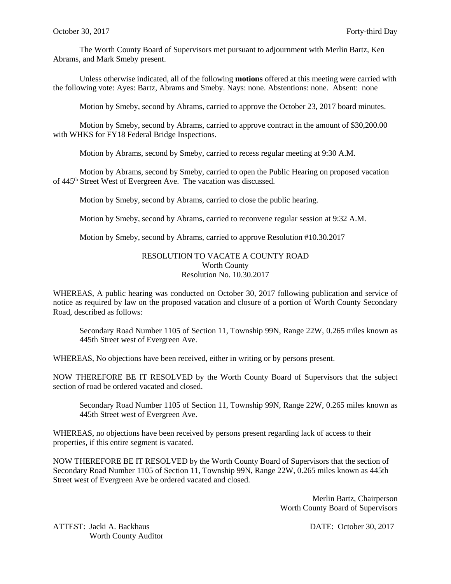The Worth County Board of Supervisors met pursuant to adjournment with Merlin Bartz, Ken Abrams, and Mark Smeby present.

Unless otherwise indicated, all of the following **motions** offered at this meeting were carried with the following vote: Ayes: Bartz, Abrams and Smeby. Nays: none. Abstentions: none. Absent: none

Motion by Smeby, second by Abrams, carried to approve the October 23, 2017 board minutes.

Motion by Smeby, second by Abrams, carried to approve contract in the amount of \$30,200.00 with WHKS for FY18 Federal Bridge Inspections.

Motion by Abrams, second by Smeby, carried to recess regular meeting at 9:30 A.M.

Motion by Abrams, second by Smeby, carried to open the Public Hearing on proposed vacation of 445<sup>th</sup> Street West of Evergreen Ave. The vacation was discussed.

Motion by Smeby, second by Abrams, carried to close the public hearing.

Motion by Smeby, second by Abrams, carried to reconvene regular session at 9:32 A.M.

Motion by Smeby, second by Abrams, carried to approve Resolution #10.30.2017

## RESOLUTION TO VACATE A COUNTY ROAD Worth County Resolution No. 10.30.2017

WHEREAS, A public hearing was conducted on October 30, 2017 following publication and service of notice as required by law on the proposed vacation and closure of a portion of Worth County Secondary Road, described as follows:

Secondary Road Number 1105 of Section 11, Township 99N, Range 22W, 0.265 miles known as 445th Street west of Evergreen Ave.

WHEREAS, No objections have been received, either in writing or by persons present.

NOW THEREFORE BE IT RESOLVED by the Worth County Board of Supervisors that the subject section of road be ordered vacated and closed.

Secondary Road Number 1105 of Section 11, Township 99N, Range 22W, 0.265 miles known as 445th Street west of Evergreen Ave.

WHEREAS, no objections have been received by persons present regarding lack of access to their properties, if this entire segment is vacated.

NOW THEREFORE BE IT RESOLVED by the Worth County Board of Supervisors that the section of Secondary Road Number 1105 of Section 11, Township 99N, Range 22W, 0.265 miles known as 445th Street west of Evergreen Ave be ordered vacated and closed.

> Merlin Bartz, Chairperson Worth County Board of Supervisors

ATTEST: Jacki A. Backhaus DATE: October 30, 2017 Worth County Auditor